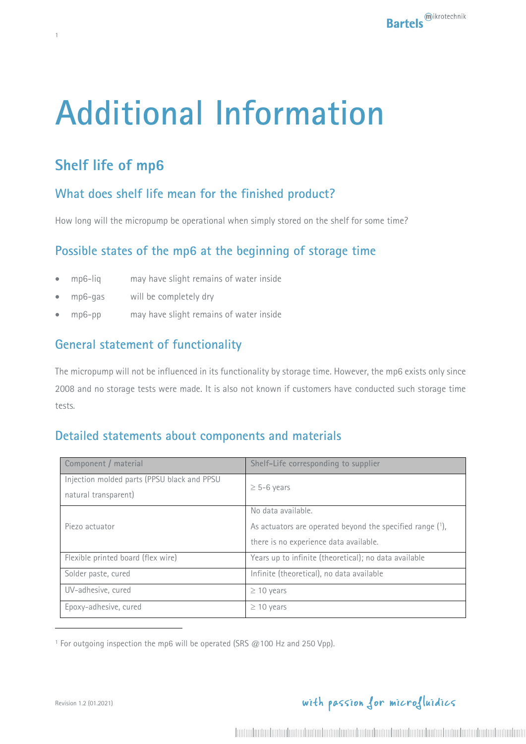# **Additional Information**

# **Shelf life of mp6**

1

## **What does shelf life mean for the finished product?**

How long will the micropump be operational when simply stored on the shelf for some time?

### **Possible states of the mp6 at the beginning of storage time**

- mp6-liq may have slight remains of water inside
- mp6-gas will be completely dry
- mp6-pp may have slight remains of water inside

### **General statement of functionality**

The micropump will not be influenced in its functionality by storage time. However, the mp6 exists only since 2008 and no storage tests were made. It is also not known if customers have conducted such storage time tests.

#### **Detailed statements about components and materials**

| Component / material                                                | Shelf-Life corresponding to supplier                                                                                      |
|---------------------------------------------------------------------|---------------------------------------------------------------------------------------------------------------------------|
| Injection molded parts (PPSU black and PPSU<br>natural transparent) | $\geq$ 5-6 years                                                                                                          |
| Piezo actuator                                                      | No data available.<br>As actuators are operated beyond the specified range (1),<br>there is no experience data available. |
| Flexible printed board (flex wire)                                  | Years up to infinite (theoretical); no data available                                                                     |
| Solder paste, cured                                                 | Infinite (theoretical), no data available                                                                                 |
| UV-adhesive, cured                                                  | $\geq$ 10 years                                                                                                           |
| Epoxy-adhesive, cured                                               | $\geq$ 10 years                                                                                                           |

<sup>1</sup> For outgoing inspection the mp6 will be operated (SRS @100 Hz and 250 Vpp).

# with passion for microfluidics